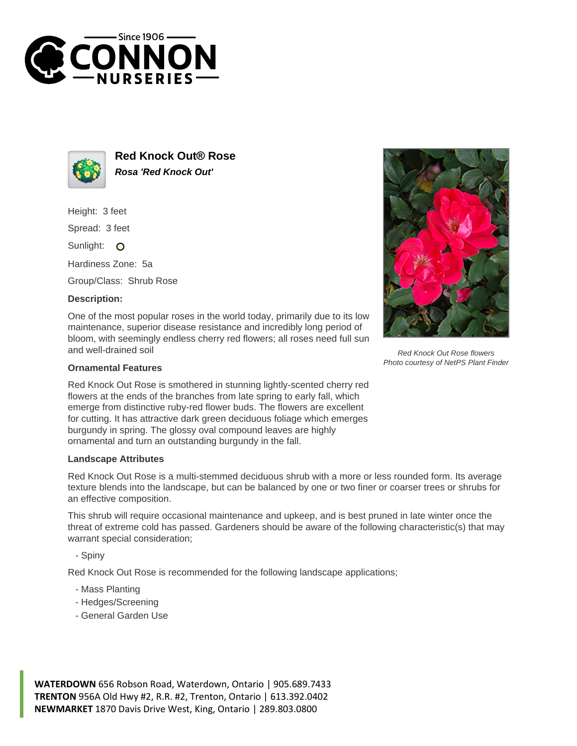



**Red Knock Out® Rose Rosa 'Red Knock Out'**

Height: 3 feet

Spread: 3 feet

Sunlight: O

Hardiness Zone: 5a

Group/Class: Shrub Rose

## **Description:**

One of the most popular roses in the world today, primarily due to its low maintenance, superior disease resistance and incredibly long period of bloom, with seemingly endless cherry red flowers; all roses need full sun and well-drained soil



Red Knock Out Rose flowers Photo courtesy of NetPS Plant Finder

## **Ornamental Features**

Red Knock Out Rose is smothered in stunning lightly-scented cherry red flowers at the ends of the branches from late spring to early fall, which emerge from distinctive ruby-red flower buds. The flowers are excellent for cutting. It has attractive dark green deciduous foliage which emerges burgundy in spring. The glossy oval compound leaves are highly ornamental and turn an outstanding burgundy in the fall.

## **Landscape Attributes**

Red Knock Out Rose is a multi-stemmed deciduous shrub with a more or less rounded form. Its average texture blends into the landscape, but can be balanced by one or two finer or coarser trees or shrubs for an effective composition.

This shrub will require occasional maintenance and upkeep, and is best pruned in late winter once the threat of extreme cold has passed. Gardeners should be aware of the following characteristic(s) that may warrant special consideration;

- Spiny

Red Knock Out Rose is recommended for the following landscape applications;

- Mass Planting
- Hedges/Screening
- General Garden Use

**WATERDOWN** 656 Robson Road, Waterdown, Ontario | 905.689.7433 **TRENTON** 956A Old Hwy #2, R.R. #2, Trenton, Ontario | 613.392.0402 **NEWMARKET** 1870 Davis Drive West, King, Ontario | 289.803.0800